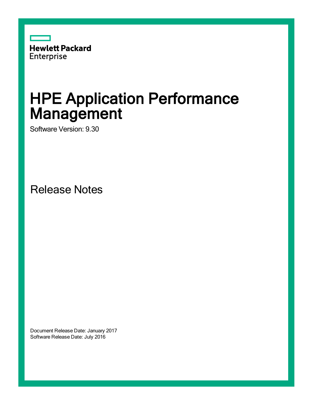

# HPE Application Performance Management

Software Version: 9.30

Release Notes

Document Release Date: January 2017 Software Release Date: July 2016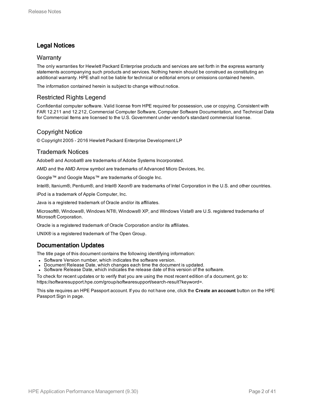## Legal Notices

## **Warranty**

The only warranties for Hewlett Packard Enterprise products and services are set forth in the express warranty statements accompanying such products and services. Nothing herein should be construed as constituting an additional warranty. HPE shall not be liable for technical or editorial errors or omissions contained herein.

The information contained herein is subject to change without notice.

## Restricted Rights Legend

Confidential computer software. Valid license from HPE required for possession, use or copying. Consistent with FAR 12.211 and 12.212, Commercial Computer Software, Computer Software Documentation, and Technical Data for Commercial Items are licensed to the U.S. Government under vendor's standard commercial license.

## Copyright Notice

© Copyright 2005 - 2016 Hewlett Packard Enterprise Development LP

## Trademark Notices

Adobe® and Acrobat® are trademarks of Adobe Systems Incorporated.

AMD and the AMD Arrow symbol are trademarks of Advanced Micro Devices, Inc.

Google™ and Google Maps™ are trademarks of Google Inc.

Intel®, Itanium®, Pentium®, and Intel® Xeon® are trademarks of Intel Corporation in the U.S. and other countries.

iPod is a trademark of Apple Computer, Inc.

Java is a registered trademark of Oracle and/or its affiliates.

Microsoft®, Windows®, Windows NT®, Windows® XP, and Windows Vista® are U.S. registered trademarks of Microsoft Corporation.

Oracle is a registered trademark of Oracle Corporation and/or its affiliates.

UNIX® is a registered trademark of The Open Group.

## Documentation Updates

The title page of this document contains the following identifying information:

- Software Version number, which indicates the software version.
- Document Release Date, which changes each time the document is updated.
- <sup>l</sup> Software Release Date, which indicates the release date of this version of the software.

To check for recent updates or to verify that you are using the most recent edition of a document, go to: https://softwaresupport.hpe.com/group/softwaresupport/search-result?keyword=.

This site requires an HPE Passport account. If you do not have one, click the **Create an account** button on the HPE Passport Sign in page.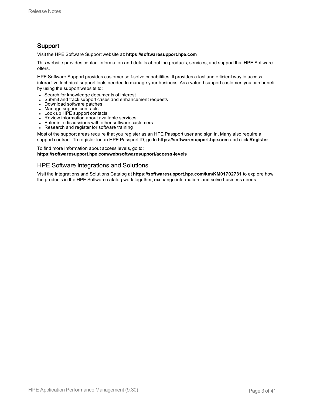## Support

Visit the HPE Software Support website at: **https://softwaresupport.hpe.com**

This website provides contact information and details about the products, services, and support that HPE Software offers.

HPE Software Support provides customer self-solve capabilities. It provides a fast and efficient way to access interactive technical support tools needed to manage your business. As a valued support customer, you can benefit by using the support website to:

- Search for knowledge documents of interest
- Submit and track support cases and enhancement requests
- Download software patches
- Manage support contracts
- $\bullet$  Look up HPE support contacts
- Review information about available services
- Enter into discussions with other software customers
- Research and register for software training

Most of the support areas require that you register as an HPE Passport user and sign in. Many also require a support contract. To register for an HPE Passport ID, go to **https://softwaresupport.hpe.com** and click **Register**.

To find more information about access levels, go to: **https://softwaresupport.hpe.com/web/softwaresupport/access-levels**

## HPE Software Integrations and Solutions

Visit the Integrations and Solutions Catalog at **https://softwaresupport.hpe.com/km/KM01702731** to explore how the products in the HPE Software catalog work together, exchange information, and solve business needs.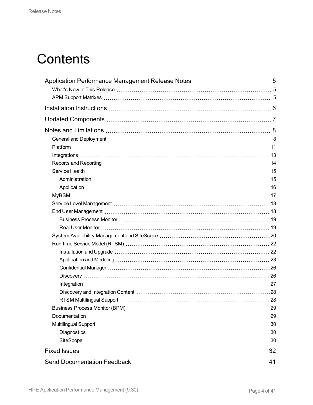# **Contents**

| 41 |
|----|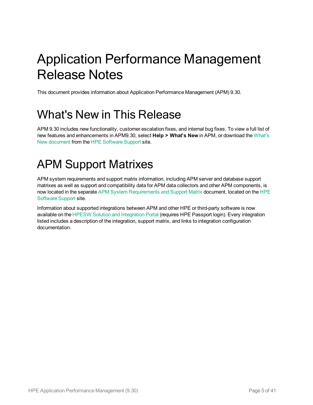# <span id="page-4-0"></span>Application Performance Management Release Notes

<span id="page-4-1"></span>This document provides information about Application Performance Management (APM) 9.30.

# What's New in This Release

APM 9.30 includes new functionality, customer escalation fixes, and internal bug fixes. To view a full list of new features and enhancements in APM9.30, select **Help > What's New** in APM, or download the [What's](https://softwaresupport.hp.com/km/KM02225442) New [document](https://softwaresupport.hp.com/km/KM02225442) from the HPE [Software](https://softwaresupport.hpe.com/) Support site.

# <span id="page-4-2"></span>APM Support Matrixes

APM system requirements and support matrix information, including APM server and database support matrixes as well as support and compatibility data for APM data collectors and other APM components, is now located in the separate APM System [Requirements](https://softwaresupport.hp.com/km/KM02225466) and Support Matrix document, located on the [HPE](https://softwaresupport.hpe.com/) [Software](https://softwaresupport.hpe.com/) Support site.

Information about supported integrations between APM and other HPE or third-party software is now available on the HPESW Solution and [Integration](https://hpenterprise.sharepoint.com/teams/aztec/) Portal (requires HPE Passport login). Every integration listed includes a description of the integration, support matrix, and links to integration configuration documentation.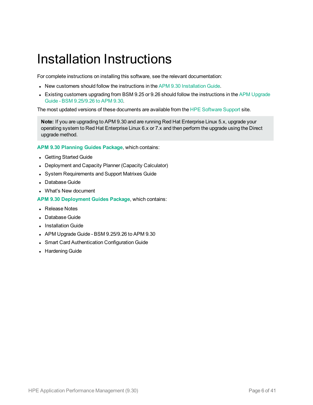# <span id="page-5-0"></span>Installation Instructions

For complete instructions on installing this software, see the relevant documentation:

- New customers should follow the instructions in the APM 9.30 [Installation](https://softwaresupport.hpe.com/km/KM02225456) Guide.
- Existing customers upgrading from BSM 9.25 or 9.26 should follow the instructions in the APM [Upgrade](https://softwaresupport.hpe.com/km/KM02225469) Guide - BSM [9.25/9.26](https://softwaresupport.hpe.com/km/KM02225469) to APM 9.30.

The most updated versions of these documents are available from the HPE [Software](https://softwaresupport.hpe.com/) Support site.

**Note:** If you are upgrading to APM 9.30 and are running Red Hat Enterprise Linux 5.x, upgrade your operating system to Red Hat Enterprise Linux 6.x or 7.x and then perform the upgrade using the Direct upgrade method.

**APM 9.30 [Planning](https://softwaresupport.hpe.com/km/KM02232864) Guides Package**, which contains:

- Getting Started Guide
- Deployment and Capacity Planner (Capacity Calculator)
- System Requirements and Support Matrixes Guide
- Database Guide
- What's New document

**APM 9.30 [Deployment](https://softwaresupport.hpe.com/km/KM02232872) Guides Package**, which contains:

- Release Notes
- Database Guide
- Installation Guide
- APM Upgrade Guide BSM  $9.25/9.26$  to APM  $9.30$
- Smart Card Authentication Configuration Guide
- Hardening Guide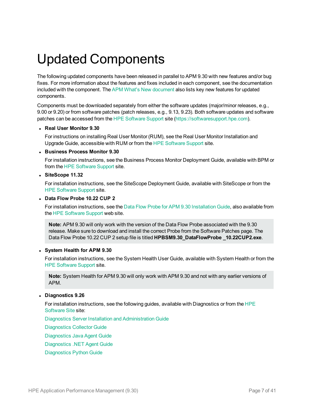# <span id="page-6-0"></span>Updated Components

The following updated components have been released in parallel to APM 9.30 with new features and/or bug fixes. For more information about the features and fixes included in each component, see the documentation included with the component. The APM What's New [document](https://softwaresupport.hpe.com/km/KM02225442) also lists key new features for updated components.

Components must be downloaded separately from either the software updates (major/minor releases, e.g., 9.00 or 9.20) or from software patches (patch releases, e.g., 9.13, 9.23). Both software updates and software patches can be accessed from the HPE [Software](https://softwaresupport.hpe.com/) Support site ([https://softwaresupport.hpe.com](https://softwaresupport.hpe.com/)).

#### <sup>l</sup> **Real User Monitor 9.30**

For instructions on installing Real User Monitor (RUM), see the Real User Monitor Installation and Upgrade Guide, accessible with RUM or from the HPE [Software](https://softwaresupport.hpe.com/) Support site.

#### <sup>l</sup> **Business Process Monitor 9.30**

For installation instructions, see the Business Process Monitor Deployment Guide, available with BPM or from the HPE [Software](https://softwaresupport.hpe.com/) Support site.

#### <sup>l</sup> **SiteScope 11.32**

For installation instructions, see the SiteScope Deployment Guide, available with SiteScope or from the HPE [Software](https://softwaresupport.hpe.com/) Support site.

#### <sup>l</sup> **Data Flow Probe 10.22 CUP 2**

For installation instructions, see the Data Flow Probe for APM 9.30 [Installation](https://softwaresupport.hpe.com/km/KM02225471) Guide, also available from the HPE [Software](https://softwaresupport.hpe.com/) Support web site.

**Note:** APM 9.30 will only work with the version of the Data Flow Probe associated with the 9.30 release. Make sure to download and install the correct Probe from the Software Patches page. The Data Flow Probe 10.22 CUP 2 setup file is titled **HPBSM9.30\_DataFlowProbe \_10.22CUP2.exe**.

#### <sup>l</sup> **System Health for APM 9.30**

For installation instructions, see the System Health User Guide, available with System Health or from the HPE [Software](https://softwaresupport.hpe.com/) Support site.

**Note:** System Health for APM 9.30 will only work with APM 9.30 and not with any earlier versions of APM.

## <sup>l</sup> **Diagnostics 9.26**

For installation instructions, see the following guides, available with Diagnostics or from the [HPE](https://softwaresupport.hpe.com/) [Software](https://softwaresupport.hpe.com/) Site site:

Diagnostics Server Installation and [Administration](https://softwaresupport.hpe.com/group/softwaresupport/search-result/-/facetsearch/document/KM01715956) Guide

[Diagnostics](https://softwaresupport.hpe.com/group/softwaresupport/search-result/-/facetsearch/document/KM01715951) Collector Guide

[Diagnostics](https://softwaresupport.hpe.com/group/softwaresupport/search-result/-/facetsearch/document/KM01715954) Java Agent Guide

[Diagnostics](https://softwaresupport.hpe.com/group/softwaresupport/search-result/-/facetsearch/document/KM01715947) .NET Agent Guide

[Diagnostics](https://softwaresupport.hpe.com/group/softwaresupport/search-result/-/facetsearch/document/KM01715955) Python Guide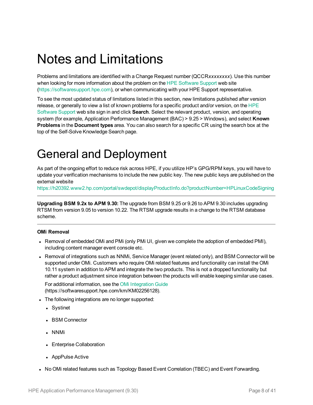# <span id="page-7-0"></span>Notes and Limitations

Problems and limitations are identified with a Change Request number (QCCR*xxxxxxxx*). Use this number when looking for more information about the problem on the HPE [Software](https://softwaresupport.hpe.com/) Support web site [\(https://softwaresupport.hpe.com\)](http://www.hp.com/go/hpsoftwaresupport), or when communicating with your HPE Support representative.

To see the most updated status of limitations listed in this section, new limitations published after version release, or generally to view a list of known problems for a specific product and/or version, on the [HPE](https://softwaresupport.hpe.com/) [Software](https://softwaresupport.hpe.com/) Support web site sign in and click **Search**. Select the relevant product, version, and operating system (for example, Application Performance Management (BAC) > 9.25 > Windows), and select **Known Problems** in the **Document types** area. You can also search for a specific CR using the search box at the top of the Self-Solve Knowledge Search page.

# <span id="page-7-1"></span>General and Deployment

As part of the ongoing effort to reduce risk across HPE, if you utilize HP's GPG/RPM keys, you will have to update your verification mechanisms to include the new public key. The new public keys are published on the external website

<https://h20392.www2.hp.com/portal/swdepot/displayProductInfo.do?productNumber=HPLinuxCodeSigning>

**Upgrading BSM 9.2x to APM 9.30:** The upgrade from BSM 9.25 or 9.26 to APM 9.30 includes upgrading RTSM from version 9.05 to version 10.22. The RTSM upgrade results in a change to the RTSM database scheme.

## **OMi Removal**

- Removal of embedded OMi and PMi (only PMi UI, given we complete the adoption of embedded PMI), including content manager event console etc.
- Removal of integrations such as NNMi, Service Manager (event related only), and BSM Connector will be supported under OMi. Customers who require OMi related features and functionality can install the OMi 10.11 system in addition to APM and integrate the two products. This is not a dropped functionality but rather a product adjustment since integration between the products will enable keeping similar use cases.

For additional information, see the OMi [Integration](https://softwaresupport.hpe.com/km/KM02256128) Guide (https://softwaresupport.hpe.com/km/KM02256128).

- The following integrations are no longer supported:
	- Systinet
	- BSM Connector
	- NNMi
	- Enterprise Collaboration
	- AppPulse Active
- No OMi related features such as Topology Based Event Correlation (TBEC) and Event Forwarding.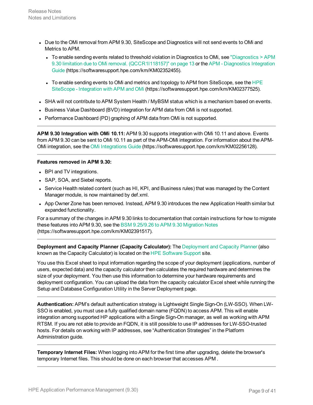- Due to the OMi removal from APM 9.30, SiteScope and Diagnostics will not send events to OMi and Metrics to APM.
	- To enable sending events related to threshold violation in Diagnostics to OMi, see ["Diagnostics](#page-12-1)  $>$  APM 9.30 limitation due to OMi removal. [\(QCCR1I118157\)"](#page-12-1) on page 13 or the APM - [Diagnostics](https://softwaresupport.hpe.com/km/KM02352455) Integration [Guide](https://softwaresupport.hpe.com/km/KM02352455) (https://softwaresupport.hpe.com/km/KM02352455).
	- To enable sending events to OMi and metrics and topology to APM from SiteScope, see the [HPE](https://softwaresupport.hpe.com/km/KM02377525) SiteScope - [Integration](https://softwaresupport.hpe.com/km/KM02377525) with APM and OMi (https://softwaresupport.hpe.com/km/KM02377525).
- SHA will not contribute to APM System Health / MyBSM status which is a mechanism based on events.
- Business Value Dashboard (BVD) integration for APM data from OMi is not supported.
- Performance Dashboard (PD) graphing of APM data from OMi is not supported.

**APM 9.30 Integration with OMi 10.11:** APM 9.30 supports integration with OMi 10.11 and above. Events from APM 9.30 can be sent to OMi 10.11 as part of the APM-OMi integration. For information about the APM-OMi integration, see the OMi [Integrations](https://softwaresupport.hpe.com/km/KM02256128) Guide (https://softwaresupport.hpe.com/km/KM02256128).

#### **Features removed in APM 9.30:**

- BPI and TV integrations.
- SAP, SOA, and Siebel reports.
- Service Health related content (such as HI, KPI, and Business rules) that was managed by the Content Manager module, is now maintained by def.xml.
- App Owner Zone has been removed. Instead, APM 9.30 introduces the new Application Health similar but expanded functionality.

For a summary of the changes in APM 9.30 links to documentation that contain instructions for how to migrate these features into APM 9.30, see the BSM [9.25/9.26](https://softwaresupport.hpe.com/km/KM02391517) to APM 9.30 Migration Notes (https://softwaresupport.hpe.com/km/KM02391517).

**Deployment and Capacity Planner (Capacity Calculator):** The [Deployment](https://softwaresupport.hpe.com/km/KM02225445) and Capacity Planner (also known as the Capacity Calculator) is located on the HPE [Software](https://softwaresupport.hpe.com/) Support site.

You use this Excel sheet to input information regarding the scope of your deployment (applications, number of users, expected data) and the capacity calculator then calculates the required hardware and determines the size of your deployment. You then use this information to determine your hardware requirements and deployment configuration. You can upload the data from the capacity calculator Excel sheet while running the Setup and Database Configuration Utility in the Server Deployment page.

**Authentication:** APM's default authentication strategy is Lightweight Single Sign-On (LW-SSO). When LW-SSO is enabled, you must use a fully qualified domain name (FQDN) to access APM. This will enable integration among supported HP applications with a Single Sign-On manager, as well as working with APM RTSM. If you are not able to provide an FQDN, it is still possible to use IP addresses for LW-SSO-trusted hosts. For details on working with IP addresses, see "Authentication Strategies" in the Platform Administration guide.

**Temporary Internet Files:** When logging into APM for the first time after upgrading, delete the browser's temporary Internet files. This should be done on each browser that accesses APM .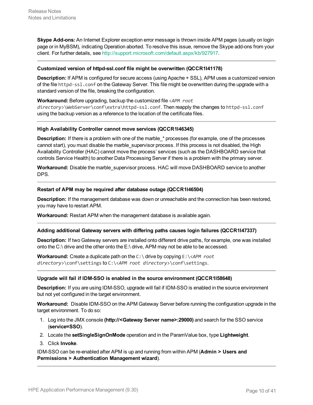**Skype Add-ons:** An Internet Explorer exception error message is thrown inside APM pages (usually on login page or in MyBSM), indicating Operation aborted. To resolve this issue, remove the Skype add-ons from your client. For further details, see [http://support.microsoft.com/default.aspx/kb/927917.](http://support.microsoft.com/default.aspx/kb/927917)

#### **Customized version of httpd-ssl.conf file might be overwritten (QCCR1I41178)**

**Description:** If APM is configured for secure access (using Apache + SSL), APM uses a customized version of the file httpd-ssl.conf on the Gateway Server. This file might be overwritten during the upgrade with a standard version of the file, breaking the configuration.

**Workaround:** Before upgrading, backup the customized file <*APM root directory*>\WebServer\conf\extra\httpd-ssl.conf. Then reapply the changes to httpd-ssl.conf using the backup version as a reference to the location of the certificate files.

#### **High Availability Controller cannot move services (QCCR1I46345)**

**Description:** If there is a problem with one of the marble \* processes (for example, one of the processes cannot start), you must disable the marble\_supervisor process. If this process is not disabled, the High Availability Controller (HAC) cannot move the process' services (such as the DASHBOARD service that controls Service Health) to another Data Processing Server if there is a problem with the primary server.

**Workaround:** Disable the marble\_supervisor process. HAC will move DASHBOARD service to another DPS.

#### **Restart of APM may be required after database outage (QCCR1I46504)**

**Description:** If the management database was down or unreachable and the connection has been restored, you may have to restart APM.

**Workaround:** Restart APM when the management database is available again.

#### **Adding additional Gateway servers with differing paths causes login failures (QCCR1I47337)**

**Description:** If two Gateway servers are installed onto different drive paths, for example, one was installed onto the C:\ drive and the other onto the E:\ drive, APM may not be able to be accessed.

**Workaround:** Create a duplicate path on the C:\ drive by copying E:\<*APM root directory*>\conf\settings to C:\<*APM root directory*>\conf\settings.

#### **Upgrade will fail if IDM-SSO is enabled in the source environment (QCCR1I58648)**

**Description:** If you are using IDM-SSO, upgrade will fail if IDM-SSO is enabled in the source environment but not yet configured in the target environment.

**Workaround:** Disable IDM-SSO on the APM Gateway Server before running the configuration upgrade in the target environment. To do so:

- 1. Log into the JMX console **(http://<Gateway Server name>:29000)** and search for the SSO service (**service=SSO**).
- 2. Locate the **setSingleSignOnMode** operation and in the ParamValue box, type **Lightweight**.
- 3. Click **Invoke**.

IDM-SSO can be re-enabled after APM is up and running from within APM (**Admin > Users and Permissions > Authentication Management wizard**).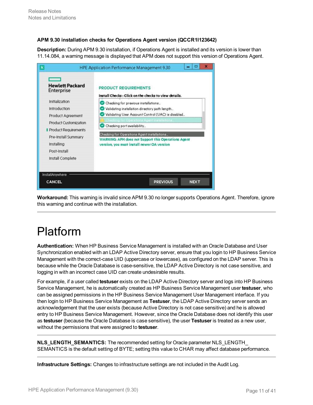## **APM 9.30 installation checks for Operations Agent version (QCCR1I123642)**

**Description:** During APM 9.30 installation, if Operations Agent is installed and its version is lower than 11.14.084, a warning message is displayed that APM does not support this version of Operations Agent.



**Workaround:** This warning is invalid since APM 9.30 no longer supports Operations Agent. Therefore, ignore this warning and continue with the installation.

# <span id="page-10-0"></span>Platform

**Authentication:** When HP Business Service Management is installed with an Oracle Database and User Synchronization enabled with an LDAP Active Directory server, ensure that you login to HP Business Service Management with the correct-case UID (uppercase or lowercase), as configured on the LDAP server. This is because while the Oracle Database is case-sensitive, the LDAP Active Directory is not case sensitive, and logging in with an incorrect case UID can create undesirable results.

For example, if a user called **testuser** exists on the LDAP Active Directory server and logs into HP Business Service Management, he is automatically created as HP Business Service Management user **testuser**, who can be assigned permissions in the HP Business Service Management User Management interface. If you then login to HP Business Service Management as **Testuser**, the LDAP Active Directory server sends an acknowledgement that the user exists (because Active Directory is not case sensitive) and he is allowed entry to HP Business Service Management. However, since the Oracle Database does not identify this user as **testuser** (because the Oracle Database is case sensitive), the user **Testuser** is treated as a new user, without the permissions that were assigned to **testuser**.

**NLS\_LENGTH\_SEMANTICS:** The recommended setting for Oracle parameter NLS\_LENGTH\_ SEMANTICS is the default setting of BYTE; setting this value to CHAR may affect database performance.

**Infrastructure Settings:** Changes to infrastructure settings are not included in the Audit Log.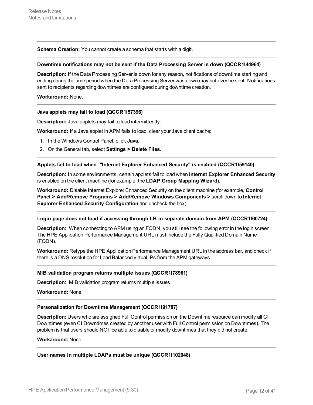**Schema Creation:** You cannot create a schema that starts with a digit.

#### **Downtime notifications may not be sent if the Data Processing Server is down (QCCR1I44964)**

**Description:** If the Data Processing Server is down for any reason, notifications of downtime starting and ending during the time period when the Data Processing Server was down may not ever be sent. Notifications sent to recipients regarding downtimes are configured during downtime creation.

#### **Workaround:** None.

#### **Java applets may fail to load (QCCR1I57396)**

**Description:** Java applets may fail to load intermittently.

**Workaround:** If a Java applet in APM fails to load, clear your Java client cache:

- 1. In the Windows Control Panel, click **Java**.
- 2. On the General tab, select **Settings > Delete Files**.

#### **Applets fail to load when "Internet Explorer Enhanced Security" is enabled (QCCR1I59140)**

**Description:** In some environments, certain applets fail to load when **Internet Explorer Enhanced Security** is enabled on the client machine (for example, the **LDAP Group Mapping Wizard**).

**Workaround:** Disable Internet Explorer Enhanced Security on the client machine (for example, **Control Panel > Add/Remove Programs > Add/Remove Windows Components >** scroll down to **Internet Explorer Enhanced Security Configuration** and uncheck the box).

#### **Login page does not load if accessing through LB in separate domain from APM (QCCR1I60724)**

**Description:** When connecting to APM using an FQDN, you still see the following error in the login screen: The HPE Application Performance Management URL must include the Fully Qualified Domain Name (FQDN).

**Workaround:** Retype the HPE Application Performance Management URL in the address bar, and check if there is a DNS resolution for Load Balanced virtual IPs from the APM gateways.

#### **MIB validation program returns multiple issues (QCCR1I78961)**

**Description:** MIB validation program returns multiple issues.

**Workaround:** None.

#### **Personalization for Downtime Management (QCCR1I91787)**

**Description:** Users who are assigned Full Control permission on the Downtime resource can modify all CI Downtimes (even CI Downtimes created by another user with Full Control permission on Downtimes). The problem is that users should NOT be able to disable or modify downtimes that they did not create.

#### **Workaround:** None.

**User names in multiple LDAPs must be unique (QCCR1I102048)**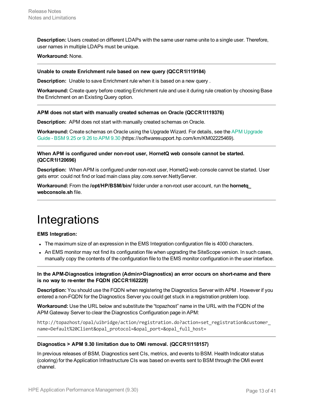**Description:** Users created on different LDAPs with the same user name unite to a single user. Therefore, user names in multiple LDAPs must be unique.

#### **Workaround:** None.

#### **Unable to create Enrichment rule based on new query (QCCR1I119184)**

**Description:** Unable to save Enrichment rule when it is based on a new query .

**Workaround:** Create query before creating Enrichment rule and use it during rule creation by choosing Base the Enrichment on an Existing Query option.

#### **APM does not start with manually created schemas on Oracle (QCCR1I119376)**

**Description:** APM does not start with manually created schemas on Oracle.

**Workaround:** Create schemas on Oracle using the Upgrade Wizard. For details, see the APM [Upgrade](https://softwaresupport.hp.com/km/KM02225469) [Guide](https://softwaresupport.hp.com/km/KM02225469) - BSM 9.25 or 9.26 to APM 9.30 (https://softwaresupport.hp.com/km/KM02225469).

#### **When APM is configured under non-root user, HornetQ web console cannot be started. (QCCR1I120696)**

**Description:** When APM is configured under non-root user, HornetQ web console cannot be started. User gets error: could not find or load main class play.core.server.NettyServer.

**Workaround:** From the **/opt/HP/BSM/bin/** folder under a non-root user account, run the **hornetq\_ webconsole.sh** file.

# <span id="page-12-0"></span>**Integrations**

#### **EMS Integration:**

- The maximum size of an expression in the EMS Integration configuration file is 4000 characters.
- An EMS monitor may not find its configuration file when upgrading the SiteScope version. In such cases, manually copy the contents of the configuration file to the EMS monitor configuration in the user interface.

**In the APM-Diagnostics integration (Admin>Diagnostics) an error occurs on short-name and there is no way to re-enter the FQDN (QCCR1I62229)**

**Description:** You should use the FQDN when registering the Diagnostics Server with APM . However if you entered a non-FQDN for the Diagnostics Server you could get stuck in a registration problem loop.

**Workaround:** Use the URL below and substitute the "topazhost" name in the URL with the FQDN of the APM Gateway Server to clear the Diagnostics Configuration page in APM:

http://topazhost/opal/uibridge/action/registration.do?action=set\_registration&customer\_ name=Default%20Client&opal protocol=&opal port=&opal full host=

#### <span id="page-12-1"></span>**Diagnostics > APM 9.30 limitation due to OMi removal. (QCCR1I118157)**

In previous releases of BSM, Diagnostics sent CIs, metrics, and events to BSM. Health Indicator status (coloring) for the Application Infrastructure CIs was based on events sent to BSM through the OMi event channel.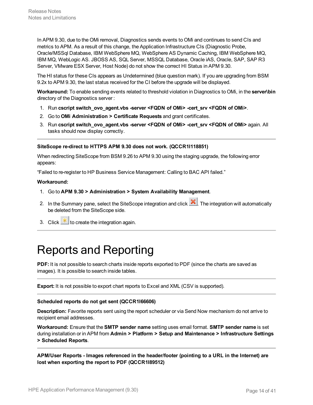In APM 9.30, due to the OMi removal, Diagnostics sends events to OMi and continues to send CIs and metrics to APM. As a result of this change, the Application Infrastructure CIs (Diagnostic Probe, Oracle/MSSql Database, IBM WebSphere MQ, WebSphere AS Dynamic Caching, IBM WebSphere MQ, IBM MQ, WebLogic AS. JBOSS AS, SQL Server, MSSQL Database, Oracle iAS, Oracle, SAP, SAP R3 Server, VMware ESX Server, Host Node) do not show the correct HI Status in APM 9.30.

The HI status for these CIs appears as Undetermined (blue question mark). If you are upgrading from BSM 9.2x to APM 9.30, the last status received for the CI before the upgrade will be displayed.

**Workaround:** To enable sending events related to threshold violation in Diagnostics to OMi, in the **server\bin** directory of the Diagnostics server :

- 1. Run **cscript switch\_ovo\_agent.vbs -server <FQDN of OMi> -cert\_srv <FQDN of OMi>**.
- 2. Go to **OMi Administration > Certificate Requests** and grant certificates.
- 3. Run **cscript switch\_ovo\_agent.vbs -server <FQDN of OMi> -cert\_srv <FQDN of OMi>** again. All tasks should now display correctly.

#### **SiteScope re-direct to HTTPS APM 9.30 does not work. (QCCR1I118851)**

When redirecting SiteScope from BSM 9.26 to APM 9.30 using the staging upgrade, the following error appears:

"Failed to re-register to HP Business Service Management: Calling to BAC API failed."

#### **Workaround:**

- 1. Go to **APM 9.30 > Administration > System Availability Management**.
- 2. In the Summary pane, select the SiteScope integration and click **X**. The integration will automatically be deleted from the SiteScope side.
- <span id="page-13-0"></span>3. Click  $\frac{*}{\cdot}$  to create the integration again.

# Reports and Reporting

**PDF:** It is not possible to search charts inside reports exported to PDF (since the charts are saved as images). It is possible to search inside tables.

**Export:** It is not possible to export chart reports to Excel and XML (CSV is supported).

#### **Scheduled reports do not get sent (QCCR1I66606)**

**Description:** Favorite reports sent using the report scheduler or via Send Now mechanism do not arrive to recipient email addresses.

**Workaround:** Ensure that the **SMTP sender name** setting uses email format. **SMTP sender name** is set during installation or in APM from **Admin > Platform > Setup and Maintenance > Infrastructure Settings > Scheduled Reports**.

**APM/User Reports - Images referenced in the header/footer (pointing to a URL in the Internet) are lost when exporting the report to PDF (QCCR1I89512)**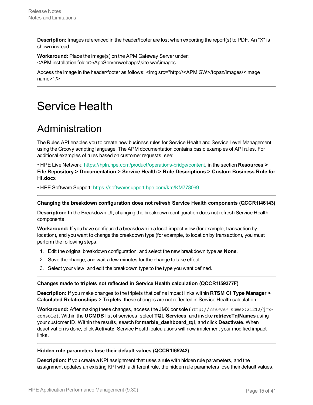**Description:** Images referenced in the header/footer are lost when exporting the report(s) to PDF. An "X" is shown instead.

**Workaround:** Place the image(s) on the APM Gateway Server under: <APM installation folder>\AppServer\webapps\site.war\images

Access the image in the header/footer as follows: <img src="http://<APM GW>/topaz/images/<image name>" />

# <span id="page-14-1"></span><span id="page-14-0"></span>Service Health

## Administration

The Rules API enables you to create new business rules for Service Health and Service Level Management, using the Groovy scripting language. The APM documentation contains basic examples of API rules. For additional examples of rules based on customer requests, see:

• HPE Live Network: <https://hpln.hpe.com/product/operations-bridge/content>, in the section **Resources > File Repository > Documentation > Service Health > Rule Descriptions > Custom Business Rule for HI.docx**

• HPE Software Support: [https://softwaresupport.hpe.com/km/KM778069](https://softwaresupport.hp.com/group/softwaresupport/search-result/-/facetsearch/document/KM778069)

#### **Changing the breakdown configuration does not refresh Service Health components (QCCR1I46143)**

**Description:** In the Breakdown UI, changing the breakdown configuration does not refresh Service Health components.

**Workaround:** If you have configured a breakdown in a local impact view (for example, transaction by location), and you want to change the breakdown type (for example, to location by transaction), you must perform the following steps:

- 1. Edit the original breakdown configuration, and select the new breakdown type as **None**.
- 2. Save the change, and wait a few minutes for the change to take effect.
- 3. Select your view, and edit the breakdown type to the type you want defined.

#### **Changes made to triplets not reflected in Service Health calculation (QCCR1I59377F)**

**Description:** If you make changes to the triplets that define impact links within **RTSM CI Type Manager > Calculated Relationships > Triplets**, these changes are not reflected in Service Health calculation.

**Workaround:** After making these changes, access the JMX console (http://<*server name*>:21212/jmxconsole). Within the **UCMDB** list of services, select **TQL Services**, and invoke **retrieveTqlNames** using your customer ID. Within the results, search for **marble\_dashboard\_tql**, and click **Deactivate**. When deactivation is done, click **Activate**. Service Health calculations will now implement your modified impact links.

#### **Hidden rule parameters lose their default values (QCCR1I65242)**

**Description:** If you create a KPI assignment that uses a rule with hidden rule parameters, and the assignment updates an existing KPI with a different rule, the hidden rule parameters lose their default values.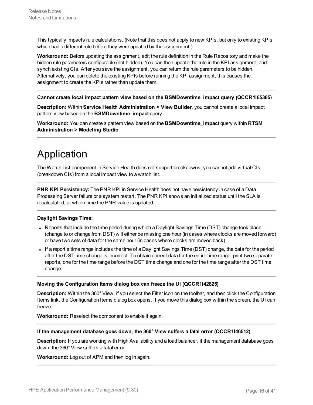This typically impacts rule calculations. (Note that this does not apply to new KPIs, but only to existing KPIs which had a different rule before they were updated by the assignment.)

**Workaround:** Before updating the assignment, edit the rule definition in the Rule Repository and make the hidden rule parameters configurable (not hidden). You can then update the rule in the KPI assignment, and synch existing CIs. After you save the assignment, you can return the rule parameters to be hidden. Alternatively, you can delete the existing KPIs before running the KPI assignment; this causes the assignment to create the KPIs rather than update them.

#### **Cannot create local impact pattern view based on the BSMDowntime\_impact query (QCCR1I65385)**

**Description:** Within **Service Health Administration > View Builder**, you cannot create a local impact pattern view based on the **BSMDowntime\_impact** query.

**Workaround:** You can create a pattern view based on the **BSMDowntime\_impact** query within **RTSM Administration > Modeling Studio**.

## <span id="page-15-0"></span>Application

The Watch List component in Service Health does not support breakdowns; you cannot add virtual CIs (breakdown CIs) from a local impact view to a watch list.

**PNR KPI Persistency:** The PNR KPI in Service Health does not have persistency in case of a Data Processing Server failure or a system restart. The PNR KPI shows an initialized status until the SLA is recalculated, at which time the PNR value is updated.

#### **Daylight Savings Time:**

- Reports that include the time period during which a Daylight Savings Time (DST) change took place (change to or change from DST) will either be missing one hour (in cases where clocks are moved forward) or have two sets of data for the same hour (in cases where clocks are moved back).
- If a report's time range includes the time of a Daylight Savings Time (DST) change, the data for the period after the DST time change is incorrect. To obtain correct data for the entire time range, print two separate reports, one for the time range before the DST time change and one for the time range after the DST time change.

#### **Moving the Configuration Items dialog box can freeze the UI (QCCR1I42825)**

**Description:** Within the 360° View, if you select the Filter icon on the toolbar, and then click the Configuration Items link, the Configuration Items dialog box opens. If you move this dialog box within the screen, the UI can freeze.

**Workaround:** Reselect the component to enable it again.

#### **If the management database goes down, the 360° View suffers a fatal error (QCCR1I46512)**

**Description:** If you are working with High Availability and a load balancer, if the management database goes down, the 360° View suffers a fatal error.

**Workaround:** Log out of APM and then log in again.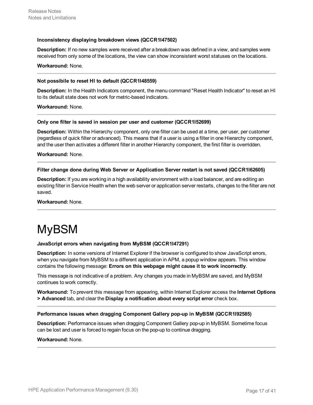#### **Inconsistency displaying breakdown views (QCCR1I47502)**

**Description:** If no new samples were received after a breakdown was defined in a view, and samples were received from only some of the locations, the view can show inconsistent worst statuses on the locations.

#### **Workaround:** None.

#### **Not possibile to reset HI to default (QCCR1I48559)**

**Description:** In the Health Indicators component, the menu command "Reset Health Indicator" to reset an HI to its default state does not work for metric-based indicators.

**Workaround:** None.

#### **Only one filter is saved in session per user and customer (QCCR1I52699)**

**Description:** Within the Hierarchy component, only one filter can be used at a time, per user, per customer (regardless of quick filter or advanced). This means that if a user is using a filter in one Hierarchy component, and the user then activates a different filter in another Hierarchy component, the first filter is overridden.

**Workaround:** None.

#### **Filter change done during Web Server or Application Server restart is not saved (QCCR1I62605)**

**Description:** If you are working in a high availability environment with a load balancer, and are editing an existing filter in Service Health when the web server or application server restarts, changes to the filter are not saved.

<span id="page-16-0"></span>**Workaround:** None.

# MyBSM

#### **JavaScript errors when navigating from MyBSM (QCCR1I47291)**

**Description:** In some versions of Internet Explorer if the browser is configured to show JavaScript errors, when you navigate from MyBSM to a different application in APM, a popup window appears. This window contains the following message: **Errors on this webpage might cause it to work incorrectly**.

This message is not indicative of a problem. Any changes you made in MyBSM are saved, and MyBSM continues to work correctly.

**Workaround:** To prevent this message from appearing, within Internet Explorer access the **Internet Options > Advanced** tab, and clear the **Display a notification about every script error** check box.

#### **Performance issues when dragging Component Gallery pop-up in MyBSM (QCCR1I92585)**

**Description:** Performance issues when dragging Component Gallery pop-up in MyBSM. Sometime focus can be lost and user is forced to regain focus on the pop-up to continue dragging.

#### **Workaround:** None.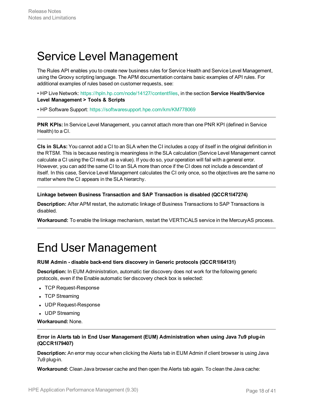# <span id="page-17-0"></span>Service Level Management

The Rules API enables you to create new business rules for Service Health and Service Level Management, using the Groovy scripting language. The APM documentation contains basic examples of API rules. For additional examples of rules based on customer requests, see:

• HP Live Network: <https://hpln.hp.com/node/14127/contentfiles>, in the section **Service Health/Service Level Management > Tools & Scripts**

• HP Software Support: [https://softwaresupport.hpe.com/km/KM778069](https://softwaresupport.hp.com/group/softwaresupport/search-result/-/facetsearch/document/KM778069)

**PNR KPIs:** In Service Level Management, you cannot attach more than one PNR KPI (defined in Service Health) to a CI.

**CIs in SLAs:** You cannot add a CI to an SLA when the CI includes a copy of itself in the original definition in the RTSM. This is because nesting is meaningless in the SLA calculation (Service Level Management cannot calculate a CI using the CI result as a value). If you do so, your operation will fail with a general error. However, you can add the same CI to an SLA more than once if the CI does not include a descendant of itself. In this case, Service Level Management calculates the CI only once, so the objectives are the same no matter where the CI appears in the SLA hierarchy.

#### **Linkage between Business Transaction and SAP Transaction is disabled (QCCR1I47274)**

**Description:** After APM restart, the automatic linkage of Business Transactions to SAP Transactions is disabled.

<span id="page-17-1"></span>**Workaround:** To enable the linkage mechanism, restart the VERTICALS service in the MercuryAS process.

# End User Management

#### **RUM Admin - disable back-end tiers discovery in Generic protocols (QCCR1I64131)**

**Description:** In EUM Administration, automatic tier discovery does not work for the following generic protocols, even if the Enable automatic tier discovery check box is selected:

- TCP Request-Response
- TCP Streaming
- UDP Request-Response
- UDP Streaming

**Workaround:** None.

## **Error in Alerts tab in End User Management (EUM) Administration when using Java 7u9 plug-in (QCCR1I79407)**

**Description:** An error may occur when clicking the Alerts tab in EUM Admin if client browser is using Java 7u9 plug-in.

**Workaround:** Clean Java browser cache and then open the Alerts tab again. To clean the Java cache: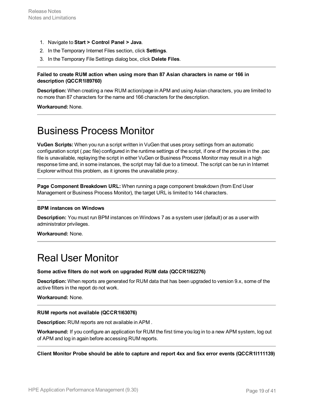- 1. Navigate to **Start > Control Panel > Java**.
- 2. In the Temporary Internet Files section, click **Settings**.
- 3. In the Temporary File Settings dialog box, click **Delete Files**.

## **Failed to create RUM action when using more than 87 Asian characters in name or 166 in description (QCCR1I89760)**

**Description:** When creating a new RUM action/page in APM and using Asian characters, you are limited to no more than 87 characters for the name and 166 characters for the description.

<span id="page-18-0"></span>**Workaround:** None.

## Business Process Monitor

**VuGen Scripts:** When you run a script written in VuGen that uses proxy settings from an automatic configuration script (.pac file) configured in the runtime settings of the script, if one of the proxies in the .pac file is unavailable, replaying the script in either VuGen or Business Process Monitor may result in a high response time and, in some instances, the script may fail due to a timeout. The script can be run in Internet Explorer without this problem, as it ignores the unavailable proxy.

**Page Component Breakdown URL:** When running a page component breakdown (from End User Management or Business Process Monitor), the target URL is limited to 144 characters.

#### **BPM instances on Windows**

**Description:** You must run BPM instances on Windows 7 as a system user (default) or as a user with administrator privileges.

<span id="page-18-1"></span>**Workaround:** None.

## Real User Monitor

#### **Some active filters do not work on upgraded RUM data (QCCR1I62276)**

**Description:** When reports are generated for RUM data that has been upgraded to version 9.x, some of the active filters in the report do not work.

**Workaround:** None.

#### **RUM reports not available (QCCR1I63076)**

**Description:** RUM reports are not available in APM .

**Workaround:** If you configure an application for RUM the first time you log in to a new APM system, log out of APM and log in again before accessing RUM reports.

**Client Monitor Probe should be able to capture and report 4xx and 5xx error events (QCCR1I111139)**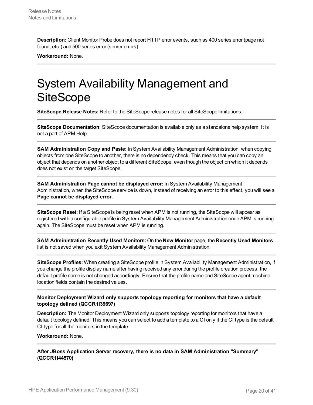**Description:** Client Monitor Probe does not report HTTP error events, such as 400 series error (page not found, etc.) and 500 series error (server errors)

<span id="page-19-0"></span>**Workaround:** None.

# System Availability Management and **SiteScope**

**SiteScope Release Notes:** Refer to the SiteScope release notes for all SiteScope limitations.

**SiteScope Documentation**: SiteScope documentation is available only as a standalone help system. It is not a part of APM Help.

**SAM Administration Copy and Paste:** In System Availability Management Administration, when copying objects from one SiteScope to another, there is no dependency check. This means that you can copy an object that depends on another object to a different SiteScope, even though the object on which it depends does not exist on the target SiteScope.

**SAM Administration Page cannot be displayed error:** In System Availability Management Administration, when the SiteScope service is down, instead of receiving an error to this effect, you will see a **Page cannot be displayed error**.

**SiteScope Reset:** If a SiteScope is being reset when APM is not running, the SiteScope will appear as registered with a configurable profile in System Availability Management Administration once APM is running again. The SiteScope must be reset when APM is running.

**SAM Administration Recently Used Monitors:** On the **New Monitor** page, the **Recently Used Monitors** list is not saved when you exit System Availability Management Administration.

**SiteScope Profiles:** When creating a SiteScope profile in System Availability Management Administration, if you change the profile display name after having received any error during the profile creation process, the default profile name is not changed accordingly. Ensure that the profile name and SiteScope agent machine location fields contain the desired values.

## **Monitor Deployment Wizard only supports topology reporting for monitors that have a default topology defined (QCCR1I39697)**

**Description:** The Monitor Deployment Wizard only supports topology reporting for monitors that have a default topology defined. This means you can select to add a template to a CI only if the CI type is the default CI type for all the monitors in the template.

#### **Workaround:** None.

**After JBoss Application Server recovery, there is no data in SAM Administration "Summary" (QCCR1I44570)**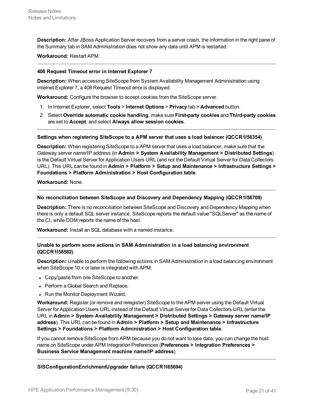**Description:** After JBoss Application Server recovers from a server crash, the information in the right pane of the Summary tab in SAM Administration does not show any data until APM is restarted.

**Workaround:** Restart APM.

#### **408 Request Timeout error in Internet Explorer 7**

**Description:** When accessing SiteScope from System Availability Management Administration using Internet Explorer 7, a 408 Request Timeout error is displayed.

**Workaround:** Configure the browser to accept cookies from the SiteScope server.

- 1. In Internet Explorer, select **Tools** > **Internet Options** > **Privacy** tab > **Advanced** button.
- 2. Select **Override automatic cookie handling**, make sure **First-party cookies** and **Third-party cookies** are set to **Accept**, and select **Always allow session cookies**.

#### **Settings when registering SiteScope to a APM server that uses a load balancer (QCCR1I56354)**

**Description:** When registering SiteScope to a APM server that uses a load balancer, make sure that the Gateway server name/IP address (in **Admin > System Availability Management > Distributed Settings**) is the Default Virtual Server for Application Users URL (and not the Default Virtual Server for Data Collectors URL). This URL can be found in **Admin > Platform > Setup and Maintenance > Infrastructure Settings > Foundations > Platform Administration > Host Configuration table**.

**Workaround:** None.

#### **No reconciliation between SiteScope and Discovery and Dependency Mapping (QCCR1I56709)**

**Description:** There is no reconciliation between SiteScope and Discovery and Dependency Mapping when there is only a default SQL server instance. SiteScope reports the default value "SQLServer" as the name of the CI, while DDM reports the name of the host.

**Workaround:** Install an SQL database with a named instance.

#### **Unable to perform some actions in SAM Administration in a load balancing environment (QCCR1I58582)**

**Description:** Unable to perform the following actions in SAM Administration in a load balancing environment when SiteScope 10.x or later is integrated with APM:

- Copy/paste from one SiteScope to another.
- Perform a Global Search and Replace.
- Run the Monitor Deployment Wizard.

**Workaround:** Register (or remove and reregister) SiteScope to the APM server using the Default Virtual Server for Application Users URL instead of the Default Virtual Server for Data Collectors URL (enter the URL in **Admin > System Availability Management > Distributed Settings > Gateway server name/IP address**). This URL can be found in **Admin > Platform > Setup and Maintenance > Infrastructure Settings > Foundations > Platform Administration > Host Configuration table**.

If you cannot remove SiteScope from APM because you do not want to lose data, you can change the host name on SiteScope under APM Integration Preferences (**Preferences > Integration Preferences > Business Service Management machine name/IP address**).

**SISConfigurationEnrichmentUpgrader failure (QCCR1I65694)**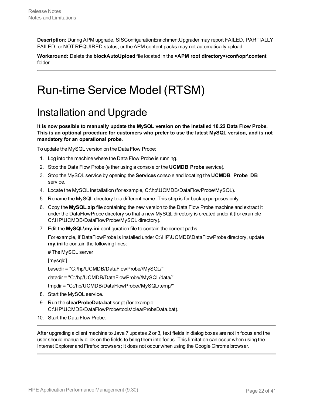**Description:** During APM upgrade, SISConfigurationEnrichmentUpgrader may report FAILED, PARTIALLY FAILED, or NOT REQUIRED status, or the APM content packs may not automatically upload.

**Workaround:** Delete the **blockAutoUpload** file located in the **<APM root directory>\conf\opr\content** folder.

# <span id="page-21-1"></span><span id="page-21-0"></span>Run-time Service Model (RTSM)

## Installation and Upgrade

**It is now possible to manually update the MySQL version on the installed 10.22 Data Flow Probe. This is an optional procedure for customers who prefer to use the latest MySQL version, and is not mandatory for an operational probe.**

To update the MySQL version on the Data Flow Probe:

- 1. Log into the machine where the Data Flow Probe is running.
- 2. Stop the Data Flow Probe (either using a console or the **UCMDB Probe** service).
- 3. Stop the MySQL service by opening the **Services** console and locating the **UCMDB\_Probe\_DB** service.
- 4. Locate the MySQL installation (for example, C:\hp\UCMDB\DataFlowProbe\MySQL).
- 5. Rename the MySQL directory to a different name. This step is for backup purposes only.
- 6. Copy the **MySQL.zip** file containing the new version to the Data Flow Probe machine and extract it under the DataFlowProbe directory so that a new MySQL directory is created under it (for example C:\HP\UCMDB\DataFlowProbe\MySQL directory).
- 7. Edit the **MySQL\my.ini** configuration file to contain the correct paths.

For example, if DataFlowProbe is installed under C:\HP\UCMDB\DataFlowProbe directory, update **my.ini** to contain the following lines:

# The MySQL server

[mysqld]

basedir = "C:/hp/UCMDB/DataFlowProbe//MySQL/"

datadir = "C:/hp/UCMDB/DataFlowProbe//MySQL/data/"

tmpdir = "C:/hp/UCMDB/DataFlowProbe//MySQL/temp/"

- 8. Start the MySQL service.
- 9. Run the **clearProbeData.bat** script (for example C:\HP\UCMDB\DataFlowProbe\tools\clearProbeData.bat).
- 10. Start the Data Flow Probe.

After upgrading a client machine to Java 7 updates 2 or 3, text fields in dialog boxes are not in focus and the user should manually click on the fields to bring them into focus. This limitation can occur when using the Internet Explorer and Firefox browsers; it does not occur when using the Google Chrome browser.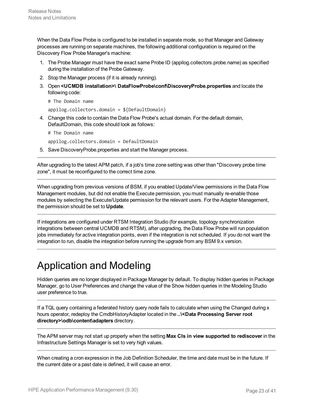When the Data Flow Probe is configured to be installed in separate mode, so that Manager and Gateway processes are running on separate machines, the following additional configuration is required on the Discovery Flow Probe Manager's machine:

- 1. The Probe Manager must have the exact same Probe ID (appilog.collectors.probe.name) as specified during the installation of the Probe Gateway.
- 2. Stop the Manager process (if it is already running).
- 3. Open **<UCMDB installation>\ DataFlowProbe\conf\DiscoveryProbe.properties** and locate the following code:
	- # The Domain name

appilog.collectors.domain = \${DefaultDomain}

4. Change this code to contain the Data Flow Probe's actual domain. For the default domain, DefaultDomain, this code should look as follows:

```
# The Domain name
```
appilog.collectors.domain = DefaultDomain

5. Save DiscoveryProbe.properties and start the Manager process.

After upgrading to the latest APM patch, if a job's time zone setting was other than "Discovery probe time zone", it must be reconfigured to the correct time zone.

When upgrading from previous versions of BSM, if you enabled Update/View permissions in the Data Flow Management modules, but did not enable the Execute permission, you must manually re-enable those modules by selecting the Execute/Update permission for the relevant users. For the Adapter Management, the permission should be set to **Update**.

If integrations are configured under RTSM Integration Studio (for example, topology synchronization integrations between central UCMDB and RTSM), after upgrading, the Data Flow Probe will run population jobs immediately for active integration points, even if the integration is not scheduled. If you do not want the integration to run, disable the integration before running the upgrade from any BSM 9.x version.

## <span id="page-22-0"></span>Application and Modeling

Hidden queries are no longer displayed in Package Manager by default. To display hidden queries in Package Manager, go to User Preferences and change the value of the Show hidden queries in the Modeling Studio user preference to true.

If a TQL query containing a federated history query node fails to calculate when using the Changed during x hours operator, redeploy the CmdbHistoryAdapter located in the **..\<Data Processing Server root directory>\odb\content\adapters** directory.

The APM server may not start up properly when the setting **Max CIs in view supported to rediscover** in the Infrastructure Settings Manager is set to very high values.

When creating a cron expression in the Job Definition Scheduler, the time and date must be in the future. If the current date or a past date is defined, it will cause an error.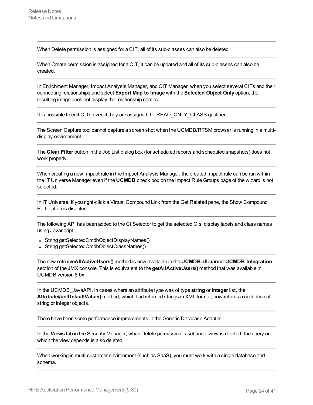When Delete permission is assigned for a CIT, all of its sub-classes can also be deleted.

When Create permission is assigned for a CIT, it can be updated and all of its sub-classes can also be created.

In Enrichment Manager, Impact Analysis Manager, and CIT Manager, when you select several CITs and their connecting relationships and select **Export Map to Image** with the **Selected Object Only** option, the resulting image does not display the relationship names.

It is possible to edit CITs even if they are assigned the READ\_ONLY\_CLASS qualifier.

The Screen Capture tool cannot capture a screen shot when the UCMDB/RTSM browser is running in a multidisplay environment.

The **Clear Filter** button in the Job List dialog box (for scheduled reports and scheduled snapshots) does not work properly.

When creating a new Impact rule in the Impact Analysis Manager, the created Impact rule can be run within the IT Universe Manager even if the **UCMDB** check box on the Impact Rule Groups page of the wizard is not selected.

In IT Universe, if you right-click a Virtual Compound Link from the Get Related pane, the Show Compound Path option is disabled.

The following API has been added to the CI Selector to get the selected CIs' display labels and class names using Javascript:

- String getSelectedCmdbObjectDisplayNames()
- String getSelectedCmdbObjectClassNames()

The new **retrieveAllActiveUsers()** method is now available in the **UCMDB-UI:name=UCMDB Integration** section of the JMX console. This is equivalent to the **getAllActiveUsers()** method that was available in UCMDB version 8.0x.

In the UCMDB\_JavaAPI, in cases where an attribute type was of type **string** or **integer** list, the **Attribute#getDefaultValue()** method, which had returned strings in XML format, now returns a collection of string or integer objects.

There have been some performance improvements in the Generic Database Adapter.

In the **Views** tab in the Security Manager, when Delete permission is set and a view is deleted, the query on which the view depends is also deleted.

When working in multi-customer environment (such as SaaS), you must work with a single database and schema.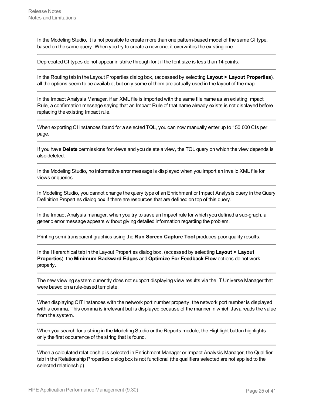In the Modeling Studio, it is not possible to create more than one pattern-based model of the same CI type, based on the same query. When you try to create a new one, it overwrites the existing one.

Deprecated CI types do not appear in strike through font if the font size is less than 14 points.

In the Routing tab in the Layout Properties dialog box, (accessed by selecting **Layout > Layout Properties**), all the options seem to be available, but only some of them are actually used in the layout of the map.

In the Impact Analysis Manager, if an XML file is imported with the same file name as an existing Impact Rule, a confirmation message saying that an Impact Rule of that name already exists is not displayed before replacing the existing Impact rule.

When exporting CI instances found for a selected TQL, you can now manually enter up to 150,000 CIs per page.

If you have **Delete** permissions for views and you delete a view, the TQL query on which the view depends is also deleted.

In the Modeling Studio, no informative error message is displayed when you import an invalid XML file for views or queries.

In Modeling Studio, you cannot change the query type of an Enrichment or Impact Analysis query in the Query Definition Properties dialog box if there are resources that are defined on top of this query.

In the Impact Analysis manager, when you try to save an Impact rule for which you defined a sub-graph, a generic error message appears without giving detailed information regarding the problem.

Printing semi-transparent graphics using the **Run Screen Capture Tool** produces poor quality results.

In the Hierarchical tab in the Layout Properties dialog box, (accessed by selecting **Layout > Layout Properties**), the **Minimum Backward Edges** and **Optimize For Feedback Flow** options do not work properly.

The new viewing system currently does not support displaying view results via the IT Universe Manager that were based on a rule-based template.

When displaying CIT instances with the network port number property, the network port number is displayed with a comma. This comma is irrelevant but is displayed because of the manner in which Java reads the value from the system.

When you search for a string in the Modeling Studio or the Reports module, the Highlight button highlights only the first occurrence of the string that is found.

When a calculated relationship is selected in Enrichment Manager or Impact Analysis Manager, the Qualifier tab in the Relationship Properties dialog box is not functional (the qualifiers selected are not applied to the selected relationship).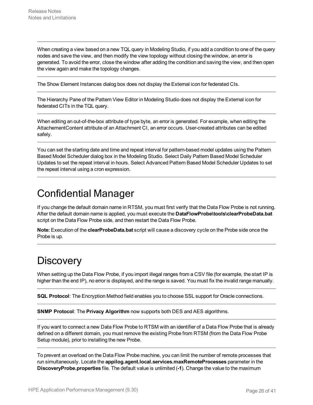When creating a view based on a new TQL query in Modeling Studio, if you add a condition to one of the query nodes and save the view, and then modify the view topology without closing the window, an error is generated. To avoid the error, close the window after adding the condition and saving the view, and then open the view again and make the topology changes.

The Show Element Instances dialog box does not display the External icon for federated CIs.

The Hierarchy Pane of the Pattern View Editor in Modeling Studio does not display the External icon for federated CITs in the TQL query.

When editing an out-of-the-box attribute of type byte, an error is generated. For example, when editing the AttachementContent attribute of an Attachment CI, an error occurs. User-created attributes can be edited safely.

You can set the starting date and time and repeat interval for pattern-based model updates using the Pattern Based Model Scheduler dialog box in the Modeling Studio. Select Daily Pattern Based Model Scheduler Updates to set the repeat interval in hours. Select Advanced Pattern Based Model Scheduler Updates to set the repeat interval using a cron expression.

## <span id="page-25-0"></span>Confidential Manager

If you change the default domain name in RTSM, you must first verify that the Data Flow Probe is not running. After the default domain name is applied, you must execute the **DataFlowProbe\tools\clearProbeData.bat** script on the Data Flow Probe side, and then restart the Data Flow Probe.

**Note:** Execution of the **clearProbeData.bat** script will cause a discovery cycle on the Probe side once the Probe is up.

## <span id="page-25-1"></span>**Discovery**

When setting up the Data Flow Probe, if you import illegal ranges from a CSV file (for example, the start IP is higher than the end IP), no error is displayed, and the range is saved. You must fix the invalid range manually.

**SQL Protocol**: The Encryption Method field enables you to choose SSL support for Oracle connections.

**SNMP Protocol**: The **Privacy Algorithm** now supports both DES and AES algorithms.

If you want to connect a new Data Flow Probe to RTSM with an identifier of a Data Flow Probe that is already defined on a different domain, you must remove the existing Probe from RTSM (from the Data Flow Probe Setup module), prior to installing the new Probe.

To prevent an overload on the Data Flow Probe machine, you can limit the number of remote processes that run simultaneously. Locate the **appilog.agent.local.services.maxRemoteProcesses** parameter in the **DiscoveryProbe.properties** file. The default value is unlimited (**-1**). Change the value to the maximum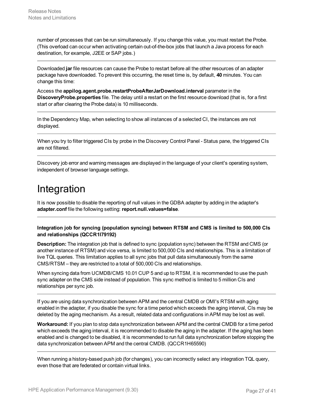number of processes that can be run simultaneously. If you change this value, you must restart the Probe. (This overload can occur when activating certain out-of-the-box jobs that launch a Java process for each destination, for example, J2EE or SAP jobs.)

Downloaded **jar** file resources can cause the Probe to restart before all the other resources of an adapter package have downloaded. To prevent this occurring, the reset time is, by default, **40** minutes. You can change this time:

Access the **appilog.agent.probe.restartProbeAfterJarDownload.interval** parameter in the **DiscoveryProbe.properties** file. The delay until a restart on the first resource download (that is, for a first start or after clearing the Probe data) is 10 milliseconds.

In the Dependency Map, when selecting to show all instances of a selected CI, the instances are not displayed.

When you try to filter triggered CIs by probe in the Discovery Control Panel - Status pane, the triggered CIs are not filtered.

<span id="page-26-0"></span>Discovery job error and warning messages are displayed in the language of your client's operating system, independent of browser language settings.

## Integration

It is now possible to disable the reporting of null values in the GDBA adapter by adding in the adapter's **adapter.conf** file the following setting: **report.null.values=false**.

## **Integration job for syncing (population syncing) between RTSM and CMS is limited to 500,000 CIs and relationships (QCCR1I79192)**

**Description:** The integration job that is defined to sync (population sync) between the RTSM and CMS (or another instance of RTSM) and vice versa, is limited to 500,000 CIs and relationships. This is a limitation of live TQL queries. This limitation applies to all sync jobs that pull data simultaneously from the same CMS/RTSM – they are restricted to a total of 500,000 CIs and relationships.

When syncing data from UCMDB/CMS 10.01 CUP 5 and up to RTSM, it is recommended to use the push sync adapter on the CMS side instead of population. This sync method is limited to 5 million CIs and relationships per sync job.

If you are using data synchronization between APM and the central CMDB or OMI's RTSM with aging enabled in the adapter, if you disable the sync for a time period which exceeds the aging interval, CIs may be deleted by the aging mechanism. As a result, related data and configurations in APM may be lost as well.

**Workaround:** If you plan to stop data synchronization between APM and the central CMDB for a time period which exceeds the aging interval, it is recommended to disable the aging in the adapter. If the aging has been enabled and is changed to be disabled, it is recommended to run full data synchronization before stopping the data synchronization between APM and the central CMDB. (QCCR1H65590)

When running a history-based push job (for changes), you can incorrectly select any integration TQL query, even those that are federated or contain virtual links.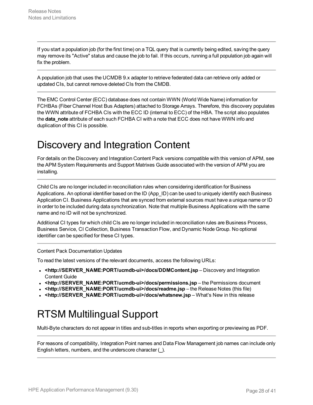If you start a population job (for the first time) on a TQL query that is currently being edited, saving the query may remove its "Active" status and cause the job to fail. If this occurs, running a full population job again will fix the problem.

A population job that uses the UCMDB 9.x adapter to retrieve federated data can retrieve only added or updated CIs, but cannot remove deleted CIs from the CMDB.

The EMC Control Center (ECC) database does not contain WWN (World Wide Name) information for FCHBAs (Fiber Channel Host Bus Adapters) attached to Storage Arrays. Therefore, this discovery populates the WWN attribute of FCHBA CIs with the ECC ID (internal to ECC) of the HBA. The script also populates the **data note** attribute of each such FCHBA CI with a note that ECC does not have WWN info and duplication of this CI is possible.

## <span id="page-27-0"></span>Discovery and Integration Content

For details on the Discovery and Integration Content Pack versions compatible with this version of APM, see the APM System Requirements and Support Matrixes Guide associated with the version of APM you are installing.

Child CIs are no longer included in reconciliation rules when considering identification for Business Applications. An optional identifier based on the ID (App\_ID) can be used to uniquely identify each Business Application CI. Business Applications that are synced from external sources must have a unique name or ID in order to be included during data synchronization. Note that multiple Business Applications with the same name and no ID will not be synchronized.

Additional CI types for which child CIs are no longer included in reconciliation rules are Business Process, Business Service, CI Collection, Business Transaction Flow, and Dynamic Node Group. No optional identifier can be specified for these CI types.

Content Pack Documentation Updates

To read the latest versions of the relevant documents, access the following URLs:

- **.** <http://SERVER\_NAME:PORT/ucmdb-ui>/docs/DDMContent.jsp Discovery and Integration Content Guide
- **.** <http://SERVER\_NAME:PORT/ucmdb-ui>/docs/permissions.jsp the Permissions document
- **<http://SERVER\_NAME:PORT/ucmdb-ui>/docs/readme.jsp** the Release Notes (this file)
- <span id="page-27-1"></span>• <http://SERVER\_NAME:PORT/ucmdb-ui>/docs/whatsnew.jsp – What's New in this release

# RTSM Multilingual Support

Multi-Byte characters do not appear in titles and sub-titles in reports when exporting or previewing as PDF.

For reasons of compatibility, Integration Point names and Data Flow Management job names can include only English letters, numbers, and the underscore character (**\_**).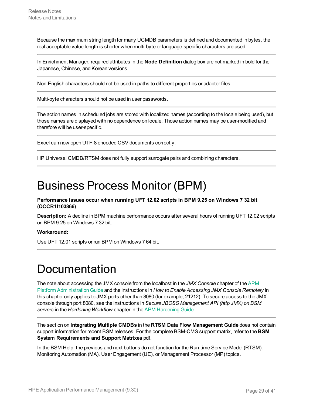Because the maximum string length for many UCMDB parameters is defined and documented in bytes, the real acceptable value length is shorter when multi-byte or language-specific characters are used.

In Enrichment Manager, required attributes in the **Node Definition** dialog box are not marked in bold for the Japanese, Chinese, and Korean versions.

Non-English characters should not be used in paths to different properties or adapter files.

Multi-byte characters should not be used in user passwords.

The action names in scheduled jobs are stored with localized names (according to the locale being used), but those names are displayed with no dependence on locale. Those action names may be user-modified and therefore will be user-specific.

Excel can now open UTF-8 encoded CSV documents correctly.

<span id="page-28-0"></span>HP Universal CMDB/RTSM does not fully support surrogate pairs and combining characters.

# Business Process Monitor (BPM)

### **Performance issues occur when running UFT 12.02 scripts in BPM 9.25 on Windows 7 32 bit (QCCR1I103866)**

**Description:** A decline in BPM machine performance occurs after several hours of running UFT 12.02 scripts on BPM 9.25 on Windows 7 32 bit.

#### **Workaround:**

<span id="page-28-1"></span>Use UFT 12.01 scripts or run BPM on Windows 7 64 bit.

# Documentation

The note about accessing the JMX console from the localhost in the *JMX Console* chapter of the [APM](https://softwaresupport.hpe.com/km/KM02362105) Platform [Administration](https://softwaresupport.hpe.com/km/KM02362105) Guide and the instructions in *How to Enable Accessing JMX Console Remotely* in this chapter only applies to JMX ports other than 8080 (for example, 21212). To secure access to the JMX console through port 8080, see the instructions in *Secure JBOSS Management API (http JMX) on BSM servers* in the *Hardening Workflow* chapter in the APM [Hardening](https://softwaresupport.hpe.com/km/KM02225462) Guide.

The section on **Integrating Multiple CMDBs** in the **RTSM Data Flow Management Guide** does not contain support information for recent BSM releases. For the complete BSM-CMS support matrix, refer to the **BSM System Requirements and Support Matrixes** pdf.

In the BSM Help, the previous and next buttons do not function for the Run-time Service Model (RTSM), Monitoring Automation (MA), User Engagement (UE), or Management Processor (MP) topics.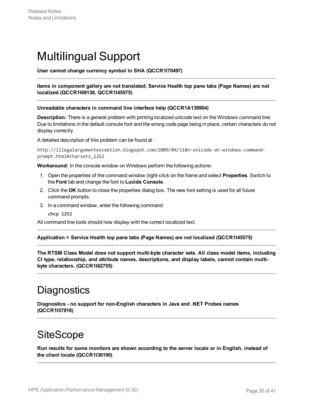# <span id="page-29-0"></span>Multilingual Support

**User cannot change currency symbol in SHA (QCCR1I70497)**

## **Items in component gallery are not translated; Service Health top pane tabs (Page Names) are not localized (QCCR1I69138, QCCR1I45575)**

#### **Unreadable characters in command line interface help (QCCR1A139904)**

**Description:** There is a general problem with printing localized unicode text on the Windows command line. Due to limitations in the default console font and the wrong code page being in place, certain characters do not display correctly.

A detailed description of this problem can be found at :

```
http://illegalargumentexception.blogspot.com/2009/04/i18n-unicode-at-windows-command-
prompt.html#charsets_1252
```
**Workaround:** In the console window on Windows perform the following actions:

- 1. Open the properties of the command window (right-click on the frame and select **Properties**. Switch to the **Font** tab and change the font to **Lucida Console**.
- 2. Click the **OK** button to close the properties dialog box. The new font setting is used for all future command prompts.
- 3. In a command window, enter the following command:

**chcp 1252**

All command line tools should now display with the correct localized text.

#### **Application > Service Health top pane tabs (Page Names) are not localized (QCCR1I45575)**

**The RTSM Class Model does not support multi-byte character sets. All class model items, including CI type, relationship, and attribute names, descriptions, and display labels, cannot contain multibyte characters. (QCCR1I62755)**

## <span id="page-29-1"></span>**Diagnostics**

**Diagnostics - no support for non-English characters in Java and .NET Probes names (QCCR1I57918)**

# <span id="page-29-2"></span>**SiteScope**

**Run results for some monitors are shown according to the server locale or in English, instead of the client locale (QCCR1I30190)**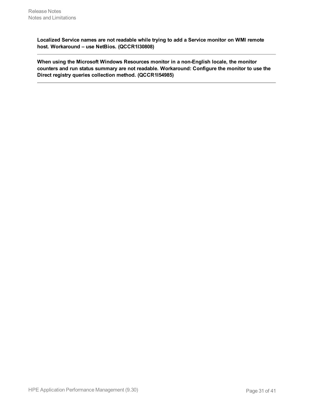**Localized Service names are not readable while trying to add a Service monitor on WMI remote host. Workaround – use NetBios. (QCCR1I30808)**

**When using the Microsoft Windows Resources monitor in a non-English locale, the monitor counters and run status summary are not readable. Workaround: Configure the monitor to use the Direct registry queries collection method. (QCCR1I54985)**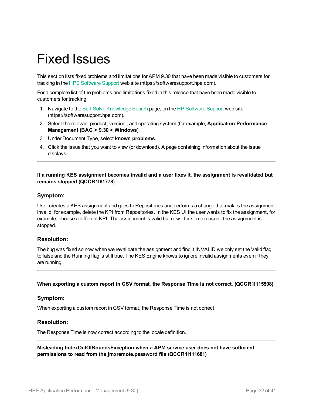# <span id="page-31-0"></span>Fixed Issues

This section lists fixed problems and limitations for APM 9.30 that have been made visible to customers for tracking in the HPE [Software](https://softwaresupport.hpe.com/) Support web site (https://softwaresupport.hpe.com).

For a complete list of the problems and limitations fixed in this release that have been made visible to customers for tracking:

- 1. Navigate to the Self-Solve [Knowledge](https://softwaresupport.hpe.com/group/softwaresupport/search-result?keyword=) Search page, on the HP [Software](https://softwaresupport.hpe.com/) Support web site (https://softwaresupport.hpe.com).
- 2. Select the relevant product, version , and operating system (for example, **Application Performance Management (BAC > 9.30 > Windows**).
- 3. Under Document Type, select **known problems**.
- 4. Click the issue that you want to view (or download). A page containing information about the issue displays.

## **If a running KES assignment becomes invalid and a user fixes it, the assignment is revalidated but remains stopped (QCCR1I61778)**

## **Symptom:**

User creates a KES assignment and goes to Repositories and performs a change that makes the assignment invalid, for example, delete the KPI from Repositories. In the KES UI the user wants to fix the assignment, for example, choose a different KPI. The assignment is valid but now - for some reason - the assignment is stopped.

## **Resolution:**

The bug was fixed so now when we revalidate the assignment and find it INVALID we only set the Valid flag to false and the Running flag is still true. The KES Engine knows to ignore invalid assignments even if they are running.

## **When exporting a custom report in CSV format, the Response Time is not correct. (QCCR1I115508)**

## **Symptom:**

When exporting a custom report in CSV format, the Response Time is not correct.

## **Resolution:**

The Response Time is now correct according to the locale definition.

## **Misleading IndexOutOfBoundsException when a APM service user does not have sufficient permissions to read from the jmxremote.password file (QCCR1I111681)**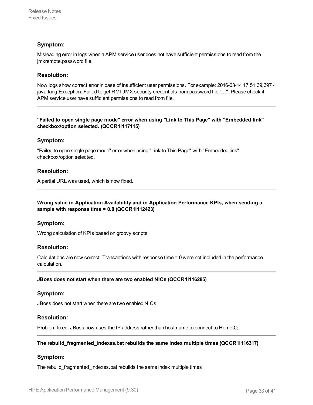## **Symptom:**

Misleading error in logs when a APM service user does not have sufficient permissions to read from the jmxremote.password file.

## **Resolution:**

Now logs show correct error in case of insufficient user permissions. For example: 2016-03-14 17:51:39,397 java.lang.Exception: Failed to get RMI-JMX security credentials from password file "...". Please check if APM service user have sufficient permissions to read from file.

## **"Failed to open single page mode" error when using "Link to This Page" with "Embedded link" checkbox/option selected. (QCCR1I117115)**

## **Symptom:**

"Failed to open single page mode" error when using "Link to This Page" with "Embedded link" checkbox/option selected.

## **Resolution:**

A partial URL was used, which is now fixed.

## **Wrong value in Application Availability and in Application Performance KPIs, when sending a sample with response time = 0.0 (QCCR1I112423)**

## **Symptom:**

Wrong calculation of KPIs based on groovy scripts

## **Resolution:**

Calculations are now correct. Transactions with response time = 0 were not included in the performance calculation.

#### **JBoss does not start when there are two enabled NICs (QCCR1I116285)**

## **Symptom:**

JBoss does not start when there are two enabled NICs.

## **Resolution:**

Problem fixed. JBoss now uses the IP address rather than host name to connect to HornetQ.

## **The rebuild\_fragmented\_indexes.bat rebuilds the same index multiple times (QCCR1I116317)**

## **Symptom:**

The rebuild\_fragmented\_indexes.bat rebuilds the same index multiple times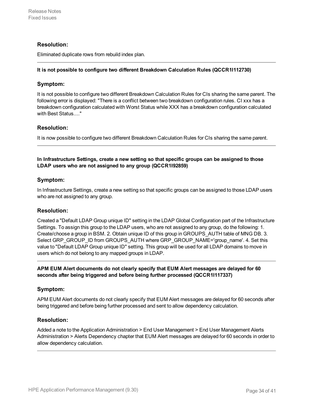## **Resolution:**

Eliminated duplicate rows from rebuild index plan.

### **It is not possible to configure two different Breakdown Calculation Rules (QCCR1I112730)**

## **Symptom:**

It is not possible to configure two different Breakdown Calculation Rules for CIs sharing the same parent. The following error is displayed: "There is a conflict between two breakdown configuration rules. CI xxx has a breakdown configuration calculated with Worst Status while XXX has a breakdown configuration calculated with Best Status...."

## **Resolution:**

It is now possible to configure two different Breakdown Calculation Rules for CIs sharing the same parent.

## **In Infrastructure Settings, create a new setting so that specific groups can be assigned to those LDAP users who are not assigned to any group (QCCR1I92859)**

## **Symptom:**

In Infrastructure Settings, create a new setting so that specific groups can be assigned to those LDAP users who are not assigned to any group.

## **Resolution:**

Created a "Default LDAP Group unique ID" setting in the LDAP Global Configuration part of the Infrastructure Settings. To assign this group to the LDAP users, who are not assigned to any group, do the following: 1. Create/choose a group in BSM. 2. Obtain unique ID of this group in GROUPS\_AUTH table of MNG DB. 3. Select GRP\_GROUP\_ID from GROUPS\_AUTH where GRP\_GROUP\_NAME='group\_name'. 4. Set this value to "Default LDAP Group unique ID" setting. This group will be used for all LDAP domains to move in users which do not belong to any mapped groups in LDAP.

## **APM EUM Alert documents do not clearly specify that EUM Alert messages are delayed for 60 seconds after being triggered and before being further processed (QCCR1I117337)**

## **Symptom:**

APM EUM Alert documents do not clearly specify that EUM Alert messages are delayed for 60 seconds after being triggered and before being further processed and sent to allow dependency calculation.

## **Resolution:**

Added a note to the Application Administration > End User Management > End User Management Alerts Administration > Alerts Dependency chapter that EUM Alert messages are delayed for 60 seconds in order to allow dependency calculation.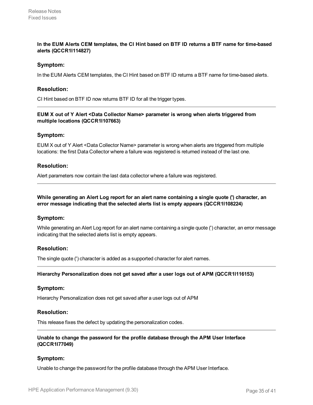## In the EUM Alerts CEM templates, the CI Hint based on BTF ID returns a BTF name for time-based **alerts (QCCR1I114827)**

## **Symptom:**

In the EUM Alerts CEM templates, the CI Hint based on BTF ID returns a BTF name for time-based alerts.

## **Resolution:**

CI Hint based on BTF ID now returns BTF ID for all the trigger types.

## **EUM X out of Y Alert <Data Collector Name> parameter is wrong when alerts triggered from multiple locations (QCCR1I107663)**

## **Symptom:**

EUM X out of Y Alert <Data Collector Name> parameter is wrong when alerts are triggered from multiple locations: the first Data Collector where a failure was registered is returned instead of the last one.

## **Resolution:**

Alert parameters now contain the last data collector where a failure was registered.

**While generating an Alert Log report for an alert name containing a single quote (') character, an error message indicating that the selected alerts list is empty appears (QCCR1I108224)**

#### **Symptom:**

While generating an Alert Log report for an alert name containing a single quote (') character, an error message indicating that the selected alerts list is empty appears.

## **Resolution:**

The single quote (') character is added as a supported character for alert names.

#### **Hierarchy Personalization does not get saved after a user logs out of APM (QCCR1I116153)**

#### **Symptom:**

Hierarchy Personalization does not get saved after a user logs out of APM

#### **Resolution:**

This release fixes the defect by updating the personalization codes.

### **Unable to change the password for the profile database through the APM User Interface (QCCR1I77049)**

## **Symptom:**

Unable to change the password for the profile database through the APM User Interface.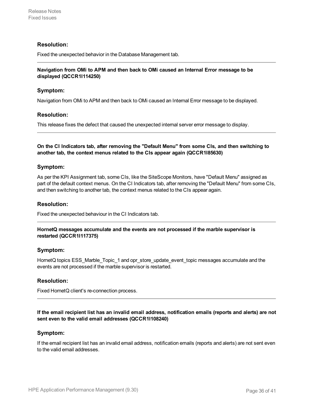## **Resolution:**

Fixed the unexpected behavior in the Database Management tab.

### **Navigation from OMi to APM and then back to OMi caused an Internal Error message to be displayed (QCCR1I114250)**

## **Symptom:**

Navigation from OMi to APM and then back to OMi caused an Internal Error message to be displayed.

#### **Resolution:**

This release fixes the defect that caused the unexpected internal server error message to display.

**On the CI Indicators tab, after removing the "Default Menu" from some CIs, and then switching to another tab, the context menus related to the CIs appear again (QCCR1I85630)**

#### **Symptom:**

As per the KPI Assignment tab, some CIs, like the SiteScope Monitors, have "Default Menu" assigned as part of the default context menus. On the CI Indicators tab, after removing the "Default Menu" from some CIs, and then switching to another tab, the context menus related to the CIs appear again.

#### **Resolution:**

Fixed the unexpected behaviour in the CI Indicators tab.

#### **HornetQ messages accumulate and the events are not processed if the marble supervisor is restarted (QCCR1I117375)**

## **Symptom:**

HornetQ topics ESS Marble Topic 1 and opr store update event topic messages accumulate and the events are not processed if the marble supervisor is restarted.

## **Resolution:**

Fixed HornetQ client's re-connection process.

#### If the email recipient list has an invalid email address, notification emails (reports and alerts) are not **sent even to the valid email addresses (QCCR1I108240)**

## **Symptom:**

If the email recipient list has an invalid email address, notification emails (reports and alerts) are not sent even to the valid email addresses.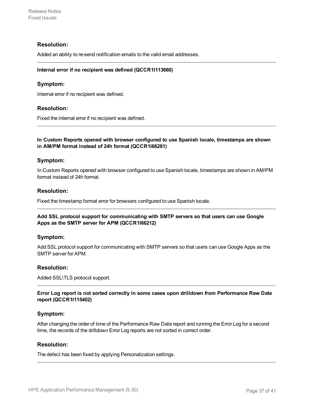## **Resolution:**

Added an ability to re-send notification emails to the valid email addresses.

#### **Internal error if no recipient was defined (QCCR1I113660)**

## **Symptom:**

Internal error if no recipient was defined.

## **Resolution:**

Fixed the internal error if no recipient was defined.

## **In Custom Reports opened with browser configured to use Spanish locale, timestamps are shown in AM/PM format instead of 24h format (QCCR1I66281)**

## **Symptom:**

In Custom Reports opened with browser configured to use Spanish locale, timestamps are shown in AM/PM format instead of 24h format.

### **Resolution:**

Fixed the timestamp format error for browsers configured to use Spanish locale.

#### **Add SSL protocol support for communicating with SMTP servers so that users can use Google Apps as the SMTP server for APM (QCCR1I66212)**

#### **Symptom:**

Add SSL protocol support for communicating with SMTP servers so that users can use Google Apps as the SMTP server for APM.

## **Resolution:**

Added SSL\TLS protocol support.

**Error Log report is not sorted correctly in some cases upon drilldown from Performance Raw Data report (QCCR1I115402)**

## **Symptom:**

After changing the order of time of the Performance Raw Data report and running the Error Log for a second time, the records of the drilldown Error Log reports are not sorted in correct order.

#### **Resolution:**

The defect has been fixed by applying Personalization settings.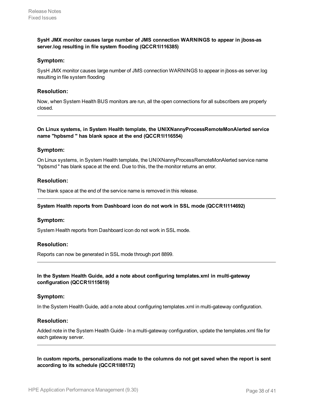## **SysH JMX monitor causes large number of JMS connection WARNINGS to appear in jboss-as server.log resulting in file system flooding (QCCR1I116385)**

## **Symptom:**

SysH JMX monitor causes large number of JMS connection WARNINGS to appear in jboss-as server.log resulting in file system flooding

### **Resolution:**

Now, when System Health BUS monitors are run, all the open connections for all subscribers are properly closed.

#### **On Linux systems, in System Health template, the UNIXNannyProcessRemoteMonAlerted service name "hpbsmd " has blank space at the end (QCCR1I116554)**

## **Symptom:**

On Linux systems, in System Health template, the UNIXNannyProcessRemoteMonAlerted service name "hpbsmd " has blank space at the end. Due to this, the the monitor returns an error.

## **Resolution:**

The blank space at the end of the service name is removed in this release.

#### **System Health reports from Dashboard icon do not work in SSL mode (QCCR1I114692)**

## **Symptom:**

System Health reports from Dashboard icon do not work in SSL mode.

## **Resolution:**

Reports can now be generated in SSL mode through port 8899.

## **In the System Health Guide, add a note about configuring templates.xml in multi-gateway configuration (QCCR1I115619)**

#### **Symptom:**

In the System Health Guide, add a note about configuring templates.xml in multi-gateway configuration.

## **Resolution:**

Added note in the System Health Guide - In a multi-gateway configuration, update the templates.xml file for each gateway server.

**In custom reports, personalizations made to the columns do not get saved when the report is sent according to its schedule (QCCR1I88172)**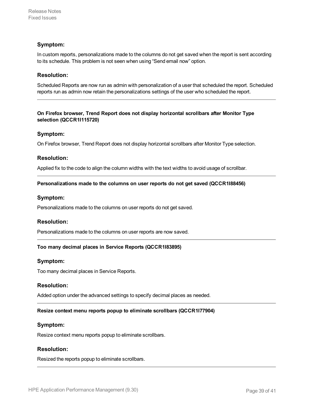## **Symptom:**

In custom reports, personalizations made to the columns do not get saved when the report is sent according to its schedule. This problem is not seen when using "Send email now" option.

## **Resolution:**

Scheduled Reports are now run as admin with personalization of a user that scheduled the report. Scheduled reports run as admin now retain the personalizations settings of the user who scheduled the report.

## **On Firefox browser, Trend Report does not display horizontal scrollbars after Monitor Type selection (QCCR1I115720)**

#### **Symptom:**

On Firefox browser, Trend Report does not display horizontal scrollbars after Monitor Type selection.

#### **Resolution:**

Applied fix to the code to align the column widths with the text widths to avoid usage of scrollbar.

#### **Personalizations made to the columns on user reports do not get saved (QCCR1I88456)**

#### **Symptom:**

Personalizations made to the columns on user reports do not get saved.

#### **Resolution:**

Personalizations made to the columns on user reports are now saved.

#### **Too many decimal places in Service Reports (QCCR1I83895)**

#### **Symptom:**

Too many decimal places in Service Reports.

#### **Resolution:**

Added option under the advanced settings to specify decimal places as needed.

#### **Resize context menu reports popup to eliminate scrollbars (QCCR1I77904)**

#### **Symptom:**

Resize context menu reports popup to eliminate scrollbars.

## **Resolution:**

Resized the reports popup to eliminate scrollbars.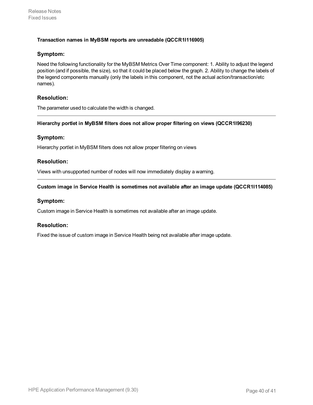## **Transaction names in MyBSM reports are unreadable (QCCR1I116905)**

## **Symptom:**

Need the following functionality for the MyBSM Metrics Over Time component: 1. Ability to adjust the legend position (and if possible, the size), so that it could be placed below the graph. 2. Ability to change the labels of the legend components manually (only the labels in this component, not the actual action/transaction/etc names).

## **Resolution:**

The parameter used to calculate the width is changed.

#### **Hierarchy portlet in MyBSM filters does not allow proper filtering on views (QCCR1I96230)**

## **Symptom:**

Hierarchy portlet in MyBSM filters does not allow proper filtering on views

## **Resolution:**

Views with unsupported number of nodes will now immediately display a warning.

## **Custom image in Service Health is sometimes not available after an image update (QCCR1I114085)**

## **Symptom:**

Custom image in Service Health is sometimes not available after an image update.

## **Resolution:**

Fixed the issue of custom image in Service Health being not available after image update.